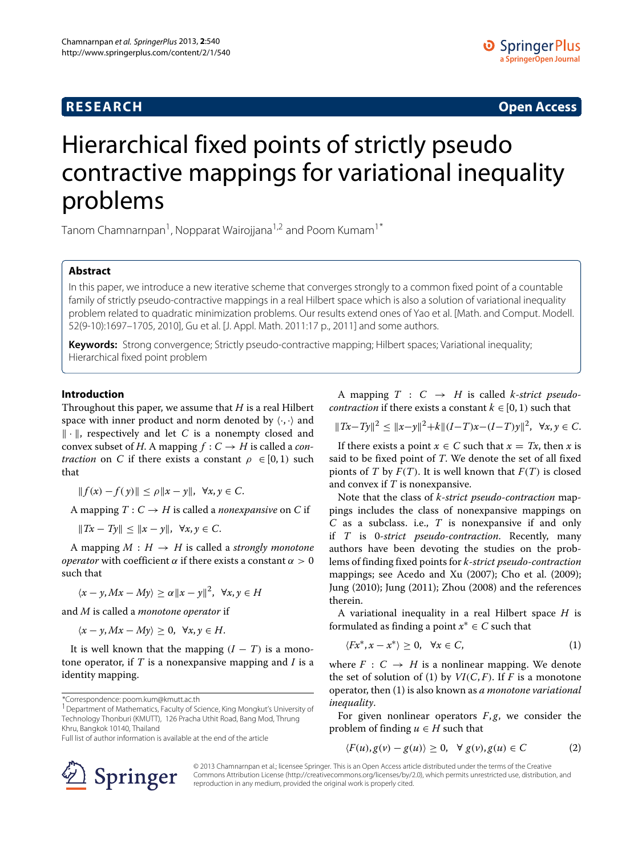# **RESEARCH Open Access**

# Hierarchical fixed points of strictly pseudo contractive mappings for variational inequality problems

Tanom Chamnarnpan<sup>1</sup>, Nopparat Wairojjana<sup>1,2</sup> and Poom Kumam<sup>1\*</sup>

## **Abstract**

In this paper, we introduce a new iterative scheme that converges strongly to a common fixed point of a countable family of strictly pseudo-contractive mappings in a real Hilbert space which is also a solution of variational inequality problem related to quadratic minimization problems. Our results extend ones of Yao et al. [Math. and Comput. Modell. 52(9-10):1697–1705, 2010], Gu et al. [J. Appl. Math. 2011:17 p., 2011] and some authors.

**Keywords:** Strong convergence; Strictly pseudo-contractive mapping; Hilbert spaces; Variational inequality; Hierarchical fixed point problem

# **Introduction**

Throughout this paper, we assume that *H* is a real Hilbert space with inner product and norm denoted by  $\langle \cdot, \cdot \rangle$  and  $\|\cdot\|$ , respectively and let *C* is a nonempty closed and convex subset of *H*. A mapping  $f: C \rightarrow H$  is called a *contraction* on *C* if there exists a constant  $\rho \in [0, 1)$  such that

$$
|| f(x) - f(y)|| \le \rho ||x - y||, \ \forall x, y \in C.
$$

A mapping  $T: C \to H$  is called a *nonexpansive* on *C* if

*|<i>Tx* − *Ty*|*|* < *||x* − *y*|*|,*  $\forall x, y \in C$ .

A mapping  $M : H \to H$  is called a *strongly monotone operator* with coefficient *α* if there exists a constant *α >* 0 such that

$$
\langle x-y, Mx-My \rangle \ge \alpha \|x-y\|^2, \ \forall x, y \in H
$$

and *M* is called a *monotone operator* if

 $\langle x - y, Mx - My \rangle \geq 0, \ \forall x, y \in H.$ 

It is well known that the mapping  $(I - T)$  is a monotone operator, if *T* is a nonexpansive mapping and *I* is a identity mapping.

<sup>1</sup> Department of Mathematics, Faculty of Science, King Mongkut's University of Technology Thonburi (KMUTT), 126 Pracha Uthit Road, Bang Mod, Thrung Khru, Bangkok 10140, Thailand

Full list of author information is available at the end of the article



A mapping  $T : C \rightarrow H$  is called *k*-*strict pseudocontraction* if there exists a constant  $k \in [0, 1)$  such that

*H* $Tx - Ty\|^2$  <  $||x - y||^2 + k||(I - T)x - (I - T)y||^2$ , ∀*x*, *y* ∈ *C*.

If there exists a point  $x \in C$  such that  $x = Tx$ , then *x* is said to be fixed point of *T*. We denote the set of all fixed pionts of *T* by  $F(T)$ . It is well known that  $F(T)$  is closed and convex if *T* is nonexpansive.

Note that the class of *k*-*strict pseudo*-*contraction* mappings includes the class of nonexpansive mappings on *C* as a subclass. i.e., *T* is nonexpansive if and only if *T* is 0-*strict pseudo*-*contraction*. Recently, many authors have been devoting the studies on the problems of finding fixed points for *k*-*strict pseudo*-*contraction* mappings; see Acedo and Xu [\(2007\)](#page-10-0); Cho et al. [\(2009\)](#page-10-1); Jung [\(2010\)](#page-11-0); Jung [\(2011\)](#page-11-1); Zhou [\(2008\)](#page-11-2) and the references therein.

A variational inequality in a real Hilbert space *H* is formulated as finding a point  $x^* \in C$  such that

<span id="page-0-0"></span>
$$
\langle Fx^*, x - x^* \rangle \ge 0, \quad \forall x \in C, \tag{1}
$$

where  $F : C \rightarrow H$  is a nonlinear mapping. We denote the set of solution of [\(1\)](#page-0-0) by  $VI(C, F)$ . If *F* is a monotone operator, then [\(1\)](#page-0-0) is also known as *a monotone variational inequality*.

For given nonlinear operators *F*, *g*, we consider the problem of finding  $u \in H$  such that

<span id="page-0-1"></span>
$$
\langle F(u), g(v) - g(u) \rangle \ge 0, \quad \forall \ g(v), g(u) \in C \tag{2}
$$

© 2013 Chamnarnpan et al.; licensee Springer. This is an Open Access article distributed under the terms of the Creative Commons Attribution License (http://creativecommons.org/licenses/by/2.0), which permits unrestricted use, distribution, and reproduction in any medium, provided the original work is properly cited.

<sup>\*</sup>Correspondence: poom.kum@kmutt.ac.th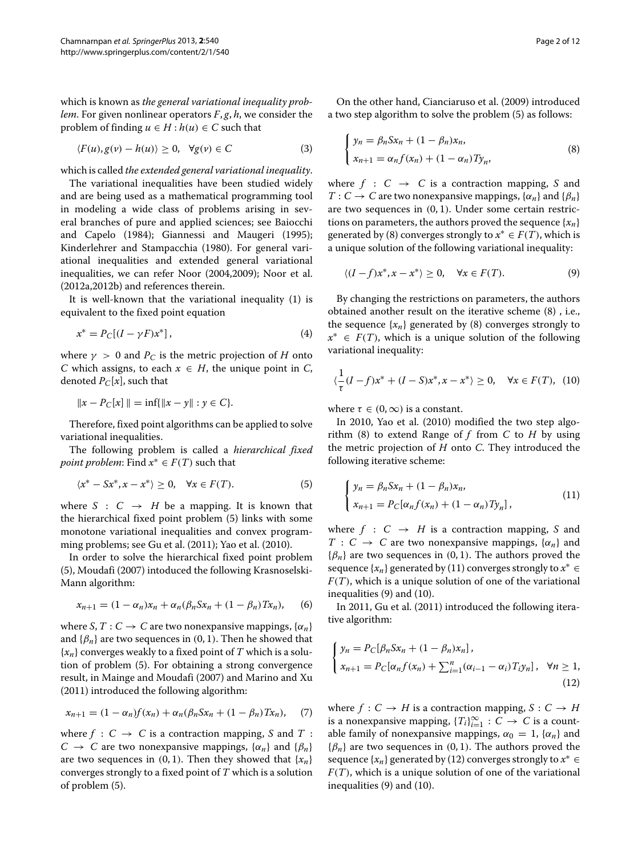which is known as *the general variational inequality problem*. For given nonlinear operators *F*, *g*, *h*, we consider the problem of finding  $u \in H : h(u) \in C$  such that

$$
\langle F(u), g(v) - h(u) \rangle \ge 0, \quad \forall g(v) \in C \tag{3}
$$

which is called *the extended general variational inequality*.

The variational inequalities have been studied widely and are being used as a mathematical programming tool in modeling a wide class of problems arising in several branches of pure and applied sciences; see Baiocchi and Capelo [\(1984\)](#page-10-2); Giannessi and Maugeri [\(1995\)](#page-10-3); Kinderlehrer and Stampacchia [\(1980\)](#page-11-3). For general variational inequalities and extended general variational inequalities, we can refer Noor [\(2004](#page-11-4)[,2009\)](#page-11-5); Noor et al. [\(2012a](#page-11-6)[,2012b\)](#page-11-7) and references therein.

It is well-known that the variational inequality [\(1\)](#page-0-0) is equivalent to the fixed point equation

$$
x^* = P_C[(I - \gamma F)x^*], \tag{4}
$$

where  $\gamma > 0$  and  $P_C$  is the metric projection of *H* onto *C* which assigns, to each  $x \in H$ , the unique point in *C*, denoted  $P_C[x]$ , such that

$$
||x - P_C[x]|| = \inf{||x - y|| : y \in C}.
$$

Therefore, fixed point algorithms can be applied to solve variational inequalities.

The following problem is called a *hierarchical fixed point problem:* Find  $x^* \in F(T)$  such that

$$
\langle x^* - Sx^*, x - x^* \rangle \ge 0, \quad \forall x \in F(T). \tag{5}
$$

where  $S : C \rightarrow H$  be a mapping. It is known that the hierarchical fixed point problem [\(5\)](#page-1-0) links with some monotone variational inequalities and convex programming problems; see Gu et al. [\(2011\)](#page-11-8); Yao et al. [\(2010\)](#page-11-9).

In order to solve the hierarchical fixed point problem [\(5\)](#page-1-0), Moudafi [\(2007\)](#page-11-10) intoduced the following Krasnoselski-Mann algorithm:

$$
x_{n+1} = (1 - \alpha_n)x_n + \alpha_n(\beta_n S x_n + (1 - \beta_n)T x_n), \qquad (6)
$$

where *S*,  $T: C \rightarrow C$  are two nonexpansive mappings,  $\{\alpha_n\}$ and  $\{\beta_n\}$  are two sequences in  $(0, 1)$ . Then he showed that  ${x_n}$  converges weakly to a fixed point of *T* which is a solution of problem [\(5\)](#page-1-0). For obtaining a strong convergence result, in Mainge and Moudafi [\(2007\)](#page-11-11) and Marino and Xu [\(2011\)](#page-11-12) introduced the following algorithm:

$$
x_{n+1} = (1 - \alpha_n)f(x_n) + \alpha_n(\beta_n S x_n + (1 - \beta_n)T x_n), \quad (7)
$$

where  $f : C \to C$  is a contraction mapping, *S* and *T* :  $C \rightarrow C$  are two nonexpansive mappings,  $\{\alpha_n\}$  and  $\{\beta_n\}$ are two sequences in  $(0, 1)$ . Then they showed that  $\{x_n\}$ converges strongly to a fixed point of *T* which is a solution of problem [\(5\)](#page-1-0).

On the other hand, Cianciaruso et al. [\(2009\)](#page-10-4) introduced a two step algorithm to solve the problem [\(5\)](#page-1-0) as follows:

<span id="page-1-1"></span>
$$
\begin{cases}\n y_n = \beta_n S x_n + (1 - \beta_n) x_n, \\
 x_{n+1} = \alpha_n f(x_n) + (1 - \alpha_n) T y_n,\n\end{cases}
$$
\n(8)

where  $f : C \rightarrow C$  is a contraction mapping, *S* and  $T: C \to C$  are two nonexpansive mappings,  $\{\alpha_n\}$  and  $\{\beta_n\}$ are two sequences in *(*0, 1*)*. Under some certain restrictions on parameters, the authors proved the sequence  $\{x_n\}$ generated by [\(8\)](#page-1-1) converges strongly to  $x^* \in F(T)$ , which is a unique solution of the following variational inequality:

<span id="page-1-3"></span>
$$
\langle (I - f)x^*, x - x^* \rangle \ge 0, \quad \forall x \in F(T). \tag{9}
$$

By changing the restrictions on parameters, the authors obtained another result on the iterative scheme [\(8\)](#page-1-1) , i.e., the sequence  $\{x_n\}$  generated by [\(8\)](#page-1-1) converges strongly to *x*<sup>∗</sup> ∈ *F(T)*, which is a unique solution of the following variational inequality:

<span id="page-1-4"></span>
$$
\langle \frac{1}{\tau}(I-f)x^* + (I-S)x^*, x - x^* \rangle \ge 0, \quad \forall x \in F(T), \tag{10}
$$

where  $\tau \in (0, \infty)$  is a constant.

<span id="page-1-0"></span>In 2010, Yao et al. [\(2010\)](#page-11-9) modified the two step algorithm [\(8\)](#page-1-1) to extend Range of *f* from *C* to *H* by using the metric projection of *H* onto *C*. They introduced the following iterative scheme:

<span id="page-1-2"></span>
$$
\begin{cases}\n y_n = \beta_n S x_n + (1 - \beta_n) x_n, \\
 x_{n+1} = P_C[\alpha_n f(x_n) + (1 - \alpha_n) T y_n],\n\end{cases}
$$
\n(11)

where  $f : C \rightarrow H$  is a contraction mapping, *S* and  $T : C \rightarrow C$  are two nonexpansive mappings,  $\{\alpha_n\}$  and {*βn*} are two sequences in *(*0, 1*)*. The authors proved the sequence  $\{x_n\}$  generated by [\(11\)](#page-1-2) converges strongly to  $x^* \in$  $F(T)$ , which is a unique solution of one of the variational inequalities [\(9\)](#page-1-3) and [\(10\)](#page-1-4).

<span id="page-1-5"></span>In 2011, Gu et al. [\(2011\)](#page-11-8) introduced the following iterative algorithm:

$$
\begin{cases}\n y_n = P_C[\beta_n S x_n + (1 - \beta_n) x_n], \\
 x_{n+1} = P_C[\alpha_n f(x_n) + \sum_{i=1}^n (\alpha_{i-1} - \alpha_i) T_i y_n], \quad \forall n \ge 1,\n\end{cases}
$$
\n(12)

where  $f : C \to H$  is a contraction mapping,  $S : C \to H$ is a nonexpansive mapping,  ${T_i}_{i=1}^{\infty} : C \to C$  is a countable family of nonexpansive mappings,  $\alpha_0 = 1$ ,  $\{\alpha_n\}$  and  ${\beta_n}$  are two sequences in (0, 1). The authors proved the sequence  $\{x_n\}$  generated by [\(12\)](#page-1-5) converges strongly to  $x^* \in$ *F(T)*, which is a unique solution of one of the variational inequalities [\(9\)](#page-1-3) and [\(10\)](#page-1-4).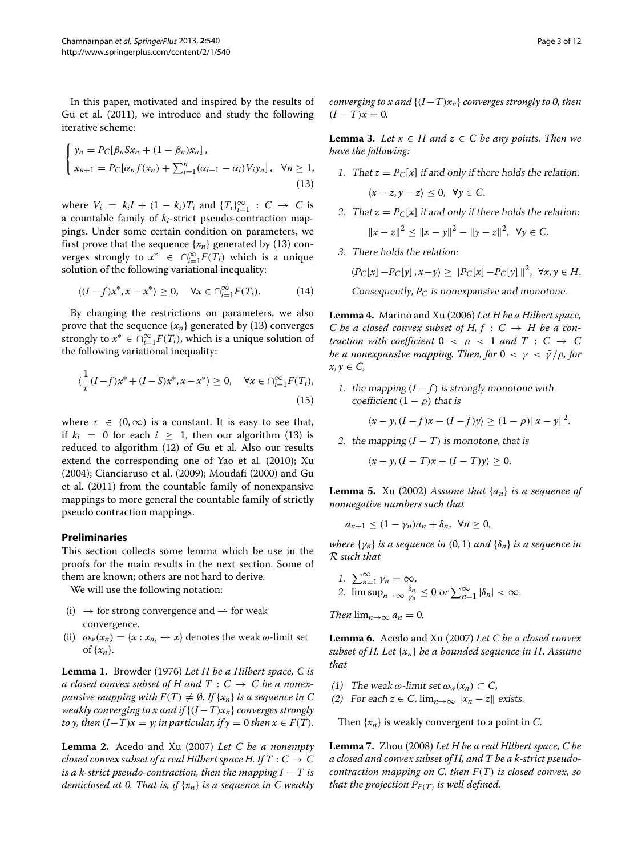In this paper, motivated and inspired by the results of Gu et al. [\(2011\)](#page-11-8), we introduce and study the following iterative scheme:

<span id="page-2-0"></span>
$$
\begin{cases}\ny_n = P_C[\beta_n S x_n + (1 - \beta_n) x_n], \\
x_{n+1} = P_C[\alpha_n f(x_n) + \sum_{i=1}^n (\alpha_{i-1} - \alpha_i) V_i y_n], \quad \forall n \ge 1,\n\end{cases}
$$
\n(13)

where  $V_i = k_i I + (1 - k_i) T_i$  and  $\{T_i\}_{i=1}^{\infty} : C \rightarrow C$  is a countable family of *ki*-strict pseudo-contraction mappings. Under some certain condition on parameters, we first prove that the sequence  $\{x_n\}$  generated by [\(13\)](#page-2-0) converges strongly to  $x^*$  ∈  $\bigcap_{i=1}^{\infty} F(T_i)$  which is a unique solution of the following variational inequality:

$$
\langle (I-f)x^*, x-x^* \rangle \ge 0, \quad \forall x \in \bigcap_{i=1}^{\infty} F(T_i). \tag{14}
$$

By changing the restrictions on parameters, we also prove that the sequence  $\{x_n\}$  generated by [\(13\)](#page-2-0) converges strongly to  $x^* \in \bigcap_{i=1}^{\infty} F(T_i)$ , which is a unique solution of the following variational inequality:

$$
\langle \frac{1}{\tau}(I-f)x^* + (I-S)x^*, x - x^* \rangle \ge 0, \quad \forall x \in \bigcap_{i=1}^{\infty} F(T_i),
$$
\n(15)

where  $\tau \in (0, \infty)$  is a constant. It is easy to see that, if  $k_i = 0$  for each  $i > 1$ , then our algorithm [\(13\)](#page-2-0) is reduced to algorithm [\(12\)](#page-1-5) of Gu et al. Also our results extend the corresponding one of Yao et al. [\(2010\)](#page-11-9); Xu [\(2004\)](#page-11-13); Cianciaruso et al. [\(2009\)](#page-10-4); Moudafi [\(2000\)](#page-11-14) and Gu et al. [\(2011\)](#page-11-8) from the countable family of nonexpansive mappings to more general the countable family of strictly pseudo contraction mappings.

## **Preliminaries**

This section collects some lemma which be use in the proofs for the main results in the next section. Some of them are known; others are not hard to derive.

We will use the following notation:

- (i)  $\rightarrow$  for strong convergence and  $\rightarrow$  for weak convergence.
- (ii)  $\omega_w(x_n) = \{x : x_{n_i} \to x\}$  denotes the weak  $\omega$ -limit set of  $\{x_n\}$ .

**Lemma 1.** Browder [\(1976\)](#page-10-5) *Let H be a Hilbert space, C is a closed convex subset of H and T* :  $C \rightarrow C$  *be a nonexpansive mapping with*  $F(T) \neq \emptyset$ *. If*  $\{x_n\}$  *is a sequence in* C *weakly converging to x and if*  ${(I - T)x_n}$  *converges strongly to y, then*  $(I-T)x = y$ *; in particular, if*  $y = 0$  *then*  $x \in F(T)$ *.* 

**Lemma 2.** Acedo and Xu [\(2007\)](#page-10-0) *Let C be a nonempty closed convex subset of a real Hilbert space H. If*  $T : C \rightarrow C$ *is a k-strict pseudo-contraction, then the mapping I*  $-$  *T is demiclosed at 0. That is, if* {*xn*} *is a sequence in C weakly* *converging to x and*  ${(I-T)x_n}$  *converges strongly to 0, then*  $(I - T)x = 0.$ 

<span id="page-2-2"></span>**Lemma 3.** *Let*  $x \in H$  *and*  $z \in C$  *be any points. Then we have the following:*

- 1. That  $z = P_C[x]$  if and only if there holds the relation:  $\langle x-z, y-z \rangle \leq 0, \ \forall y \in C.$
- 2. That  $z = P_C[x]$  if and only if there holds the relation:  $||x - z||^2$  <  $||x - y||^2$  −  $||y - z||^2$ ,  $∀y ∈ C$ .
- 3. There holds the relation:

$$
\langle P_C[x] - P_C[y], x - y \rangle \geq ||P_C[x] - P_C[y]||^2, \ \forall x, y \in H.
$$

Consequently,  $P_C$  is nonexpansive and monotone.

<span id="page-2-3"></span>**Lemma 4.** Marino and Xu [\(2006\)](#page-11-15) *Let H be a Hilbert space, C* be a closed convex subset of H,  $f : C \rightarrow H$  be a con*traction with coefficient*  $0 < \rho < 1$  *and*  $T : C \rightarrow C$ *be a nonexpansive mapping. Then, for*  $0 < \gamma < \bar{\gamma}/\rho$ , for  $x, y \in C$ ,

1. the mapping  $(I - f)$  is strongly monotone with coefficient  $(1 - \rho)$  that is

$$
\langle x - y, (I - f)x - (I - f)y \rangle \ge (1 - \rho) \|x - y\|^2.
$$

2. the mapping  $(I - T)$  is monotone, that is

$$
\langle x-y, (I-T)x - (I-T)y \rangle \ge 0.
$$

<span id="page-2-1"></span>**Lemma 5.** Xu [\(2002\)](#page-11-16) *Assume that* {*an*} *is a sequence of nonnegative numbers such that*

 $a_{n+1} < (1 - \gamma_n)a_n + \delta_n, \ \forall n > 0,$ 

*where*  $\{\gamma_n\}$  *is a sequence in*  $(0, 1)$  *and*  $\{\delta_n\}$  *is a sequence in* R *such that*

1. 
$$
\sum_{n=1}^{\infty} \gamma_n = \infty,
$$
  
2. 
$$
\limsup_{n \to \infty} \frac{\delta_n}{\gamma_n} \le 0 \text{ or } \sum_{n=1}^{\infty} |\delta_n| < \infty.
$$

*Then*  $\lim_{n\to\infty} a_n = 0$ .

**Lemma 6.** Acedo and Xu [\(2007\)](#page-10-0) *Let C be a closed convex subset of H. Let* {*xn*} *be a bounded sequence in H*. *Assume that*

- (1) The weak  $\omega$ -limit set  $\omega_w(x_n) \subset C$ ,
- (2) For each  $z \in C$ ,  $\lim_{n \to \infty} ||x_n z||$  exists.

Then {*xn*} is weakly convergent to a point in *C*.

**Lemma 7.** Zhou [\(2008\)](#page-11-2) *Let H be a real Hilbert space, C be a closed and convex subset of H, and T be a k-strict pseudocontraction mapping on C, then F(T) is closed convex, so that the projection*  $P_{F(T)}$  *is well defined.*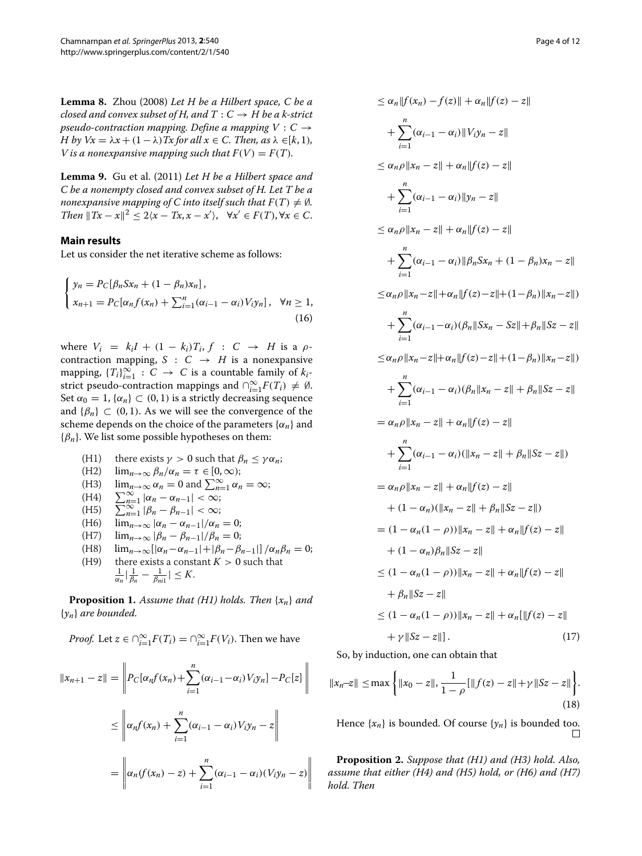**Lemma 8.** Zhou [\(2008\)](#page-11-2) *Let H be a Hilbert space, C be a closed and convex subset of H, and T* :  $C \rightarrow H$  *be a k-strict pseudo-contraction mapping. Define a mapping*  $V : C \rightarrow$ *H* by  $Vx = \lambda x + (1 - \lambda)$  *Tx* for all  $x \in C$ . Then, as  $\lambda \in [k, 1)$ *, V* is a nonexpansive mapping such that  $F(V) = F(T)$ .

<span id="page-3-2"></span>**Lemma 9.** Gu et al. [\(2011\)](#page-11-8) *Let H be a Hilbert space and C be a nonempty closed and convex subset of H. Let T be a nonexpansive mapping of C into itself such that*  $F(T) \neq \emptyset$ *. Then*  $||Tx - x||^2 \leq 2\langle x - Tx, x - x' \rangle$ ,  $\forall x' \in F(T)$ ,  $\forall x \in C$ .

## **Main results**

Let us consider the net iterative scheme as follows:

$$
\begin{cases}\ny_n = P_C[\beta_n S x_n + (1 - \beta_n) x_n], \\
x_{n+1} = P_C[\alpha_n f(x_n) + \sum_{i=1}^n (\alpha_{i-1} - \alpha_i) V_i y_n], \quad \forall n \ge 1,\n\end{cases}
$$
\n(16)

where  $V_i = k_i I + (1 - k_i) T_i$ ,  $f : C \rightarrow H$  is a  $\rho$ contraction mapping,  $S : C \rightarrow H$  is a nonexpansive mapping,  ${T_i}_{i=1}^{\infty}$  : *C*  $\rightarrow$  *C* is a countable family of  $k_i$ strict pseudo-contraction mappings and  $\bigcap_{i=1}^{\infty} F(T_i) \neq \emptyset$ . Set  $\alpha_0 = 1$ ,  $\{\alpha_n\} \subset (0, 1)$  is a strictly decreasing sequence and  $\{\beta_n\} \subset (0, 1)$ . As we will see the convergence of the scheme depends on the choice of the parameters  $\{\alpha_n\}$  and {*βn*}. We list some possible hypotheses on them:

- (H1) there exists  $\gamma > 0$  such that  $\beta_n \leq \gamma \alpha_n$ ;<br>(H2)  $\lim_{n \to \infty} \beta_n / \alpha_n = \tau \in [0, \infty)$ ;
- (H2)  $\lim_{n\to\infty} \frac{\beta_n}{\alpha_n} = \tau \in [0,\infty);$ <br>(H3)  $\lim_{n\to\infty} \frac{\alpha_n}{\alpha_n} = 0$  and  $\sum_{n=1}^{\infty} \frac{\alpha_n}{\alpha_n}$
- (H3)  $\lim_{n \to \infty} \alpha_n = 0$  and  $\sum_{n=1}^{\infty} \alpha_n = \infty$ ;<br>
(H4)  $\sum_{n=1}^{\infty} |\alpha_n \alpha_{n-1}| < \infty$ ;<br>
(H5)  $\sum_{n=1}^{\infty} |\beta_n \beta_{n-1}| < \infty$ ;
- 
- 
- (H6)  $\lim_{n \to \infty} |\alpha_n \alpha_{n-1}| / \alpha_n = 0;$ <br>(H7)  $\lim_{n \to \infty} |\beta_n \beta_{n-1}| / \beta_n = 0;$
- 
- (H7)  $\lim_{n\to\infty} |\beta_n \beta_{n-1}|/\beta_n = 0;$ <br>(H8)  $\lim_{n\to\infty} ||\alpha_n \alpha_{n-1}| + |\beta_n \beta|$ (H8)  $\lim_{n\to\infty} [|\alpha_n - \alpha_{n-1}| + |\beta_n - \beta_{n-1}|] / \alpha_n \beta_n = 0;$ <br>(H9) there exists a constant  $K > 0$  such that there exists a constant  $K > 0$  such that  $\frac{1}{\alpha_n}$  $\left| \frac{1}{\beta_n} - \frac{1}{\beta_{ni1}} \right| \leq K.$

<span id="page-3-1"></span>**Proposition 1.** *Assume that (H1) holds. Then* {*xn*} *and* {*yn*} *are bounded.*

*Proof.* Let 
$$
z \in \bigcap_{i=1}^{\infty} F(T_i) = \bigcap_{i=1}^{\infty} F(V_i)
$$
. Then we have

$$
||x_{n+1} - z|| = \left\| P_C[\alpha_n f(x_n) + \sum_{i=1}^n (\alpha_{i-1} - \alpha_i) V_i y_n] - P_C[z] \right\|
$$
  

$$
\leq \left\| \alpha_n f(x_n) + \sum_{i=1}^n (\alpha_{i-1} - \alpha_i) V_i y_n - z \right\|
$$
  

$$
= \left\| \alpha_n (f(x_n) - z) + \sum_{i=1}^n (\alpha_{i-1} - \alpha_i) (V_i y_n - z) \right\|
$$

<span id="page-3-0"></span>
$$
\leq \alpha_n \|f(x_n) - f(z)\| + \alpha_n \|f(z) - z\| \n+ \sum_{i=1}^n (\alpha_{i-1} - \alpha_i) \|V_i y_n - z\| \n\leq \alpha_n \rho \|x_n - z\| + \alpha_n \|f(z) - z\| \n+ \sum_{i=1}^n (\alpha_{i-1} - \alpha_i) \|y_n - z\| \n+ \sum_{i=1}^n (\alpha_{i-1} - \alpha_i) \|y_n - z\| \n+ \sum_{i=1}^n (\alpha_{i-1} - \alpha_i) \| \beta_n S x_n + (1 - \beta_n) x_n - z\| \n+ \sum_{i=1}^n (\alpha_{i-1} - \alpha_i) \| \beta_n S x_n + (1 - \beta_n) \|x_n - z\| ) \n+ \sum_{i=1}^n (\alpha_{i-1} - \alpha_i) (\beta_n \| S x_n - S z\| + \beta_n \| S z - z\| \n\leq \alpha_n \rho \|x_n - z\| + \alpha_n \|f(z) - z\| + (1 - \beta_n) \|x_n - z\| ) \n+ \sum_{i=1}^n (\alpha_{i-1} - \alpha_i) (\beta_n \|x_n - z\| + \beta_n \|S z - z\| \n= \alpha_n \rho \|x_n - z\| + \alpha_n \|f(z) - z\| \n+ \sum_{i=1}^n (\alpha_{i-1} - \alpha_i) (\|x_n - z\| + \beta_n \|S z - z\| ) \n= \alpha_n \rho \|x_n - z\| + \alpha_n \|f(z) - z\| \n+ (1 - \alpha_n) (\|x_n - z\| + \beta_n \|S z - z\| ) \n= (1 - \alpha_n (1 - \rho)) \|x_n - z\| + \alpha_n \|f(z) - z\| \n+ (\alpha_n (1 - \rho)) \|x_n - z\| + \alpha_n \|f(z) - z\| \n+ \beta_n \|S z - z\| \n\leq (1 - \alpha_n (1 - \rho)) \|x_n - z\| + \alpha_n \|f(z) - z\| \n+ \gamma \|S z - z\|.
$$
\n(17)

So, by induction, one can obtain that

$$
||x_n - z|| \le \max\left\{ ||x_0 - z||, \frac{1}{1 - \rho} [\|f(z) - z\| + \gamma \|Sz - z\| \right\}.
$$
\n(18)

Hence  $\{x_n\}$  is bounded. Of course  $\{y_n\}$  is bounded too.

<span id="page-3-3"></span>**Proposition 2.** *Suppose that (H1) and (H3) hold. Also, assume that either (H4) and (H5) hold, or (H6) and (H7) hold. Then*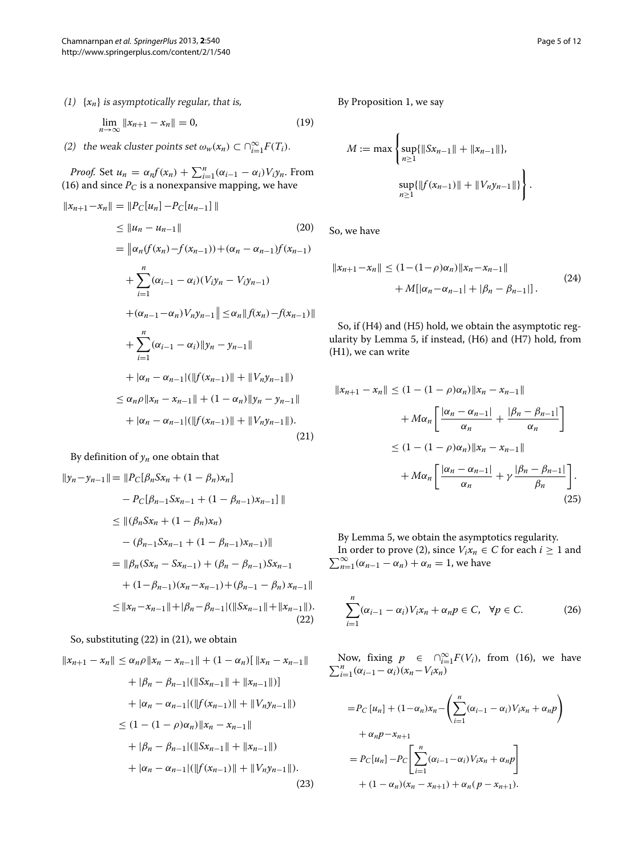(1)  $\{x_n\}$  is asymptotically regular, that is,

$$
\lim_{n \to \infty} \|x_{n+1} - x_n\| = 0,
$$
\n(19)

(2) the weak cluster points set  $\omega_w(x_n) \subset \bigcap_{i=1}^{\infty} F(T_i)$ .

*Proof.* Set  $u_n = \alpha_n f(x_n) + \sum_{i=1}^n (\alpha_{i-1} - \alpha_i) V_i y_n$ . From [\(16\)](#page-3-0) and since  $P_C$  is a nonexpansive mapping, we have

$$
||x_{n+1} - x_n|| = ||P_C[u_n] - P_C[u_{n-1}||
$$
\n
$$
\le ||u_n - u_{n-1}||
$$
\n
$$
= ||\alpha_n(f(x_n) - f(x_{n-1})) + (\alpha_n - \alpha_{n-1})f(x_{n-1})
$$
\n
$$
+ \sum_{i=1}^n (\alpha_{i-1} - \alpha_i)(V_i y_n - V_i y_{n-1})
$$
\n
$$
+ (\alpha_{n-1} - \alpha_n)V_n y_{n-1} || \le \alpha_n ||f(x_n) - f(x_{n-1})||
$$
\n
$$
+ \sum_{i=1}^n (\alpha_{i-1} - \alpha_i) ||y_n - y_{n-1}||
$$
\n
$$
+ |\alpha_n - \alpha_{n-1}| (||f(x_{n-1})|| + ||V_n y_{n-1}||)
$$
\n
$$
\le \alpha_n \rho ||x_n - x_{n-1}|| + (1 - \alpha_n) ||y_n - y_{n-1}||
$$
\n
$$
+ |\alpha_n - \alpha_{n-1}| (||f(x_{n-1})|| + ||V_n y_{n-1}||).
$$
\n(21)

By definition of  $y_n$  one obtain that

$$
||y_n - y_{n-1}|| = ||P_C[\beta_n S x_n + (1 - \beta_n) x_n]
$$
  
\n
$$
- P_C[\beta_{n-1} S x_{n-1} + (1 - \beta_{n-1}) x_{n-1}]||
$$
  
\n
$$
\leq ||(\beta_n S x_n + (1 - \beta_n) x_n)
$$
  
\n
$$
- (\beta_{n-1} S x_{n-1} + (1 - \beta_{n-1}) x_{n-1})||
$$
  
\n
$$
= ||\beta_n (S x_n - S x_{n-1}) + (\beta_n - \beta_{n-1}) S x_{n-1}
$$
  
\n
$$
+ (1 - \beta_{n-1}) (x_n - x_{n-1}) + (\beta_{n-1} - \beta_n) x_{n-1}||
$$
  
\n
$$
\leq ||x_n - x_{n-1}|| + |\beta_n - \beta_{n-1}| (||S x_{n-1}|| + ||x_{n-1}||).
$$
\n(22)

So, substituting [\(22\)](#page-4-0) in [\(21\)](#page-4-1), we obtain

$$
||x_{n+1} - x_n|| \le \alpha_n \rho ||x_n - x_{n-1}|| + (1 - \alpha_n)[ ||x_n - x_{n-1}||
$$
  
+  $|\beta_n - \beta_{n-1}| (||Sx_{n-1}|| + ||x_{n-1}||)]$   
+  $|\alpha_n - \alpha_{n-1}| (||f(x_{n-1})|| + ||V_n y_{n-1}||)$   
 $\le (1 - (1 - \rho)\alpha_n) ||x_n - x_{n-1}||$   
+  $|\beta_n - \beta_{n-1}| (||Sx_{n-1}|| + ||x_{n-1}||)$   
+  $|\alpha_n - \alpha_{n-1}| (||f(x_{n-1})|| + ||V_n y_{n-1}||).$  (23)

By Proposition [1,](#page-3-1) we say

$$
M := \max \left\{ \sup_{n \ge 1} \{ \|Sx_{n-1}\| + \|x_{n-1}\| \}, \sup_{n \ge 1} \{ \|f(x_{n-1})\| + \|V_n y_{n-1}\| \} \right\}.
$$

So, we have

$$
||x_{n+1} - x_n|| \le (1 - (1 - \rho)\alpha_n) ||x_n - x_{n-1}||
$$
  
+  $M[|\alpha_n - \alpha_{n-1}| + |\beta_n - \beta_{n-1}|].$  (24)

So, if (H4) and (H5) hold, we obtain the asymptotic regularity by Lemma [5,](#page-2-1) if instead, (H6) and (H7) hold, from (H1), we can write

<span id="page-4-1"></span>
$$
||x_{n+1} - x_n|| \le (1 - (1 - \rho)\alpha_n) ||x_n - x_{n-1}||
$$
  
+  $M\alpha_n \left[ \frac{|\alpha_n - \alpha_{n-1}|}{\alpha_n} + \frac{|\beta_n - \beta_{n-1}|}{\alpha_n} \right]$   
 $\le (1 - (1 - \rho)\alpha_n) ||x_n - x_{n-1}||$   
+  $M\alpha_n \left[ \frac{|\alpha_n - \alpha_{n-1}|}{\alpha_n} + \gamma \frac{|\beta_n - \beta_{n-1}|}{\beta_n} \right].$  (25)

By Lemma [5,](#page-2-1) we obtain the asymptotics regularity.  $\sum_{n=1}^{\infty} (\alpha_{n-1} - \alpha_n) + \alpha_n = 1$ , we have In order to prove [\(2\)](#page-0-1), since  $V_i x_n \in C$  for each  $i \geq 1$  and

<span id="page-4-0"></span>
$$
\sum_{i=1}^{n} (\alpha_{i-1} - \alpha_i) V_i x_n + \alpha_n p \in C, \quad \forall p \in C.
$$
 (26)

Now, fixing  $p \in \bigcap_{i=1}^{\infty} F(V_i)$ , from [\(16\)](#page-3-0), we have  $\sum_{i=1}^{n} (\alpha_{i-1} - \alpha_i)(x_n - V_i x_n)$  $\sum_{i=1}^{n} (\alpha_{i-1} - \alpha_i)(x_n - V_i x_n)$ 

$$
= P_C [u_n] + (1 - \alpha_n)x_n - \left(\sum_{i=1}^n (\alpha_{i-1} - \alpha_i) V_i x_n + \alpha_n p\right) + \alpha_n p - x_{n+1} = P_C [u_n] - P_C \left[\sum_{i=1}^n (\alpha_{i-1} - \alpha_i) V_i x_n + \alpha_n p\right] + (1 - \alpha_n)(x_n - x_{n+1}) + \alpha_n (p - x_{n+1}).
$$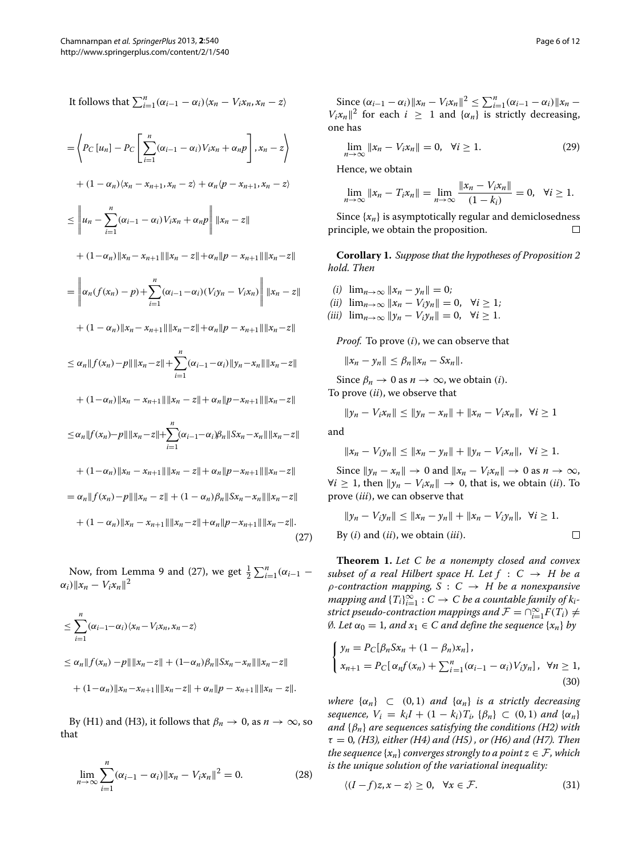It follows that 
$$
\sum_{i=1}^{n} (\alpha_{i-1} - \alpha_i) \langle x_n - V_i x_n, x_n - z \rangle
$$
  
\n
$$
= \left\langle P_C [u_n] - P_C \left[ \sum_{i=1}^{n} (\alpha_{i-1} - \alpha_i) V_i x_n + \alpha_n p \right], x_n - z \right\rangle
$$
  
\n
$$
+ (1 - \alpha_n) \langle x_n - x_{n+1}, x_n - z \rangle + \alpha_n \langle p - x_{n+1}, x_n - z \rangle
$$
  
\n
$$
\leq \left\| u_n - \sum_{i=1}^{n} (\alpha_{i-1} - \alpha_i) V_i x_n + \alpha_n p \right\| \|x_n - z\|
$$
  
\n
$$
+ (1 - \alpha_n) \|x_n - x_{n+1}\| \|x_n - z\| + \alpha_n \|p - x_{n+1}\| \|x_n - z\|
$$
  
\n
$$
= \left\| \alpha_n (f(x_n) - p) + \sum_{i=1}^{n} (\alpha_{i-1} - \alpha_i) (V_i y_n - V_i x_n) \right\| \|x_n - z\|
$$
  
\n
$$
+ (1 - \alpha_n) \|x_n - x_{n+1}\| \|x_n - z\| + \alpha_n \|p - x_{n+1}\| \|x_n - z\|
$$
  
\n
$$
\leq \alpha_n \|f(x_n) - p\| \|x_n - z\| + \sum_{i=1}^{n} (\alpha_{i-1} - \alpha_i) \|y_n - x_n\| \|x_n - z\|
$$
  
\n
$$
+ (1 - \alpha_n) \|x_n - x_{n+1}\| \|x_n - z\| + \alpha_n \|p - x_{n+1}\| \|x_n - z\|
$$
  
\n
$$
\leq \alpha_n \|f(x_n) - p\| \|x_n - x_{n+1}\| \|x_n - z\| + \alpha_n \|p - x_{n+1}\| \|x_n - z\|
$$
  
\n
$$
+ (1 - \alpha_n) \|x_n - x_{n+1}\| \|x_n - z\| + \alpha_n \|p - x_{n+1}\| \|x_n - z\|
$$
  
\n
$$
= \alpha_n \|f(x_n) - p\| \|x_n - z\| + (1 - \alpha_n) \beta_n \|Sx_n - x_n\| \|x_n - z\|
$$
  
\n
$$
+ (1 - \alpha_n) \|x_n -
$$

Now, from Lemma [9](#page-3-2) and [\(27\)](#page-5-0), we get  $\frac{1}{2} \sum_{i=1}^{n} (\alpha_{i-1} - \alpha_i)$  $\alpha_i$ )  $||x_n - V_i x_n||^2$ 

$$
\leq \sum_{i=1}^{n} (\alpha_{i-1} - \alpha_i) \langle x_n - V_i x_n, x_n - z \rangle
$$
  
\n
$$
\leq \alpha_n \| f(x_n) - p \| \| x_n - z \| + (1 - \alpha_n) \beta_n \| S x_n - x_n \| \| x_n - z \|
$$
  
\n
$$
+ (1 - \alpha_n) \| x_n - x_{n+1} \| \| x_n - z \| + \alpha_n \| p - x_{n+1} \| \| x_n - z \|.
$$

By (H1) and (H3), it follows that  $\beta_n \to 0$ , as  $n \to \infty$ , so that

$$
\lim_{n \to \infty} \sum_{i=1}^{n} (\alpha_{i-1} - \alpha_i) \|x_n - V_i x_n\|^2 = 0.
$$
 (28)

<span id="page-5-0"></span> $\frac{\sin(\alpha_i - 1 - \alpha_i)}{|\alpha_i - 1 - \alpha_i|}$   $\|x_n - V_i x_n\|^2 \le \sum_{i=1}^n (\alpha_{i-1} - \alpha_i) \|x_n - x\|^2$ *V<sub>i</sub>x<sub>n</sub>* $\|$ <sup>2</sup> for each *i*  $\geq$  1 and { $\alpha$ <sub>*n*</sub>} is strictly decreasing, one has

$$
\lim_{n \to \infty} ||x_n - V_i x_n|| = 0, \quad \forall i \ge 1.
$$
\n(29)

Hence, we obtain

$$
\lim_{n \to \infty} ||x_n - T_i x_n|| = \lim_{n \to \infty} \frac{||x_n - V_i x_n||}{(1 - k_i)} = 0, \ \forall i \ge 1.
$$

Since  $\{x_n\}$  is asymptotically regular and demiclosedness rinciple, we obtain the proposition. principle, we obtain the proposition.

**Corollary 1.** *Suppose that the hypotheses of Proposition [2](#page-3-3) hold. Then*

- (*i*)  $\lim_{n \to \infty} ||x_n y_n|| = 0;$
- (ii)  $\lim_{n\to\infty}$   $||x_n V_i y_n|| = 0$ ,  $\forall i \ge 1$ ;
- $(iii)$   $\lim_{n\to\infty}$   $\|y_n V_i y_n\| = 0$ ,  $\forall i \ge 1$ .

*Proof.* To prove *(i)*, we can observe that

$$
||x_n - y_n|| \leq \beta_n ||x_n - Sx_n||.
$$

Since  $\beta_n \to 0$  as  $n \to \infty$ , we obtain *(i)*. To prove *(ii)*, we observe that

$$
||y_n - V_i x_n|| \le ||y_n - x_n|| + ||x_n - V_i x_n||, \ \forall i \ge 1
$$

and

$$
||x_n - V_i y_n|| \le ||x_n - y_n|| + ||y_n - V_i x_n||, \ \forall i \ge 1.
$$

Since  $\|y_n - x_n\| \to 0$  and  $\|x_n - V_i x_n\| \to 0$  as  $n \to \infty$ ,  $∀i ≥ 1$ , then  $||y_n - V_i x_n|| → 0$ , that is, we obtain *(ii)*. To prove *(iii)*, we can observe that

$$
||y_n - V_i y_n|| \le ||x_n - y_n|| + ||x_n - V_i y_n||, \ \forall i \ge 1.
$$

By (*i*) and (*ii*), we obtain (*iii*). 
$$
\Box
$$

<span id="page-5-3"></span>**Theorem 1.** *Let C be a nonempty closed and convex subset of a real Hilbert space H. Let*  $f : C \rightarrow H$  *be a ρ-contraction mapping, S* : *C* → *H be a nonexpansive*  $mapping$  and  ${T_i}_{i=1}^{\infty}: C \to C$  be a countable family of  $k_i$ *strict pseudo-contraction mappings and*  $\mathcal{F} = \cap_{i=1}^{\infty} F(T_i) \neq \emptyset$  $\emptyset$ *. Let*  $\alpha_0 = 1$ *, and*  $x_1 \in C$  *and define the sequence* { $x_n$ } *by* 

<span id="page-5-1"></span>
$$
\begin{cases}\ny_n = P_C[\beta_n S x_n + (1 - \beta_n) x_n], \\
x_{n+1} = P_C[\alpha_n f(x_n) + \sum_{i=1}^n (\alpha_{i-1} - \alpha_i) V_i y_n], \ \forall n \ge 1,\n\end{cases}
$$
\n(30)

*where*  $\{\alpha_n\}$   $\subset$   $(0, 1)$  *and*  $\{\alpha_n\}$  *is a strictly decreasing sequence,*  $V_i = k_i I + (1 - k_i) T_i$ ,  $\{\beta_n\} \subset (0, 1)$  *and*  $\{\alpha_n\}$ *and* {*βn*} *are sequences satisfying the conditions (H2) with τ* = 0*, (H3), either (H4) and (H5) , or (H6) and (H7). Then the sequence*  $\{x_n\}$  *converges strongly to a point*  $z \in \mathcal{F}$ *, which is the unique solution of the variational inequality:*

<span id="page-5-2"></span>
$$
\langle (I-f)z, x-z \rangle \ge 0, \quad \forall x \in \mathcal{F}.\tag{31}
$$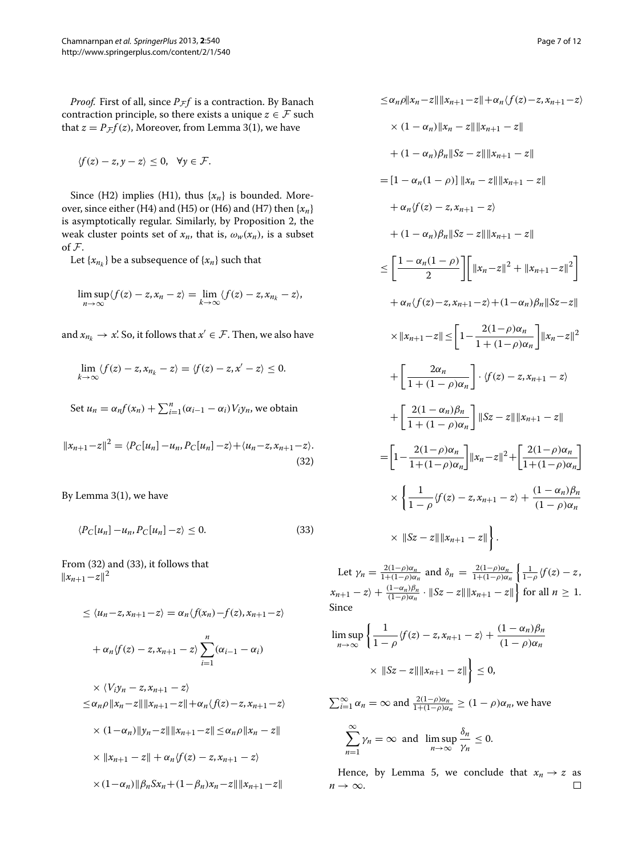*Proof.* First of all, since  $P$ <sub> $F$ </sub> $f$  is a contraction. By Banach contraction principle, so there exists a unique  $z \in \mathcal{F}$  such that  $z = P_{\mathcal{F}}f(z)$ , Moreover, from Lemma [3\(](#page-2-2)1), we have

$$
\langle f(z)-z,y-z\rangle\leq 0, \quad \forall y\in\mathcal{F}.
$$

Since (H2) implies (H1), thus  $\{x_n\}$  is bounded. Moreover, since either (H4) and (H5) or (H6) and (H7) then {*xn*} is asymptotically regular. Similarly, by Proposition [2,](#page-3-3) the weak cluster points set of  $x_n$ , that is,  $\omega_w(x_n)$ , is a subset of F.

Let  $\{x_{n_k}\}$  be a subsequence of  $\{x_n\}$  such that

$$
\limsup_{n\to\infty}\langle f(z)-z,x_n-z\rangle=\lim_{k\to\infty}\langle f(z)-z,x_{n_k}-z\rangle,
$$

and  $x_{n_k} \to x$ . So, it follows that  $x' \in \mathcal{F}$ . Then, we also have

$$
\lim_{k\to\infty}\langle f(z)-z,x_{n_k}-z\rangle=\langle f(z)-z,x'-z\rangle\leq 0.
$$

Set  $u_n = \alpha_n f(x_n) + \sum_{i=1}^n (\alpha_{i-1} - \alpha_i) V_i y_n$ , we obtain

$$
||x_{n+1} - z||^2 = \langle P_C[u_n] - u_n, P_C[u_n] - z \rangle + \langle u_n - z, x_{n+1} - z \rangle.
$$
\n(32)

By Lemma [3\(](#page-2-2)1), we have

<span id="page-6-1"></span>
$$
\langle P_C[u_n] - u_n, P_C[u_n] - z \rangle \le 0. \tag{33}
$$

From [\(32\)](#page-6-0) and [\(33\)](#page-6-1), it follows that  $||x_{n+1}-z||^2$ 

$$
\leq \langle u_n - z, x_{n+1} - z \rangle = \alpha_n \langle f(x_n) - f(z), x_{n+1} - z \rangle
$$
  
+  $\alpha_n \langle f(z) - z, x_{n+1} - z \rangle \sum_{i=1}^n (\alpha_{i-1} - \alpha_i)$   
 $\times \langle V_i y_n - z, x_{n+1} - z \rangle$   
 $\leq \alpha_n \rho ||x_n - z|| ||x_{n+1} - z|| + \alpha_n \langle f(z) - z, x_{n+1} - z \rangle$   
 $\times (1 - \alpha_n) ||y_n - z|| ||x_{n+1} - z|| \leq \alpha_n \rho ||x_n - z||$   
 $\times ||x_{n+1} - z|| + \alpha_n \langle f(z) - z, x_{n+1} - z \rangle$   
 $\times (1 - \alpha_n) ||\beta_n S x_n + (1 - \beta_n) x_n - z|| ||x_{n+1} - z||$ 

$$
\leq \alpha_n \rho \|x_n - z\| \|x_{n+1} - z\| + \alpha_n \langle f(z) - z, x_{n+1} - z \rangle
$$
  
\n
$$
\times (1 - \alpha_n) \|x_n - z\| \|x_{n+1} - z\|
$$
  
\n
$$
+ (1 - \alpha_n) \beta_n \|Sz - z\| \|x_{n+1} - z\|
$$
  
\n
$$
= [1 - \alpha_n (1 - \rho)] \|x_n - z\| \|x_{n+1} - z\|
$$
  
\n
$$
+ \alpha_n \langle f(z) - z, x_{n+1} - z \rangle
$$
  
\n
$$
+ (1 - \alpha_n) \beta_n \|Sz - z\| \|x_{n+1} - z\|
$$
  
\n
$$
\leq \left[ \frac{1 - \alpha_n (1 - \rho)}{2} \right] \left[ \|x_n - z\|^2 + \|x_{n+1} - z\|^2 \right]
$$
  
\n
$$
+ \alpha_n \langle f(z) - z, x_{n+1} - z \rangle + (1 - \alpha_n) \beta_n \|Sz - z\|
$$
  
\n
$$
\times \|x_{n+1} - z\| \leq \left[ 1 - \frac{2(1 - \rho)\alpha_n}{1 + (1 - \rho)\alpha_n} \right] \|x_n - z\|^2
$$
  
\n
$$
+ \left[ \frac{2(1 - \alpha_n)\beta_n}{1 + (1 - \rho)\alpha_n} \right] \cdot \langle f(z) - z, x_{n+1} - z \rangle
$$
  
\n
$$
+ \left[ \frac{2(1 - \alpha_n)\beta_n}{1 + (1 - \rho)\alpha_n} \right] \|Sz - z\| \|x_{n+1} - z\|
$$
  
\n
$$
= \left[ 1 - \frac{2(1 - \rho)\alpha_n}{1 + (1 - \rho)\alpha_n} \right] \|x_n - z\|^2 + \left[ \frac{2(1 - \rho)\alpha_n}{1 + (1 - \rho)\alpha_n} \right]
$$
  
\n
$$
\times \left\{ \frac{1}{1 - \rho} \langle f(z) - z, x_{n+1} - z \rangle + \frac{(1 - \alpha_n)\beta_n}{(1 - \rho)\alpha_n} \right\}
$$
  
\n
$$
\times \|Sz - z\| \|x_{n+1} - z\| \right\}.
$$

<span id="page-6-0"></span>Let  $\gamma_n = \frac{2(1-\rho)\alpha_n}{1+(1-\rho)\alpha_n}$  and  $\delta_n = \frac{2(1-\rho)\alpha_n}{1+(1-\rho)\alpha_n}$  $\left\{\frac{1}{1-\rho}\sqrt{f(z)}-z\right\}$  $x_{n+1} - z$  +  $\frac{(1-\alpha_n)\beta_n}{(1-\rho)\alpha_n} \cdot ||Sz - z|| ||x_{n+1} - z||$  for all  $n \ge 1$ . Since

$$
\limsup_{n \to \infty} \left\{ \frac{1}{1 - \rho} \langle f(z) - z, x_{n+1} - z \rangle + \frac{(1 - \alpha_n)\beta_n}{(1 - \rho)\alpha_n} \right\}
$$

$$
\times \left\| Sz - z \right\| \left\| x_{n+1} - z \right\| \le 0,
$$

 $\sum_{i=1}^{\infty} \alpha_n = \infty$  and  $\frac{2(1-\rho)\alpha_n}{1+(1-\rho)\alpha_n} \geq (1-\rho)\alpha_n$ , we have  $^{\infty}$ 

$$
\sum_{n=1}^{\infty} \gamma_n = \infty \text{ and } \limsup_{n \to \infty} \frac{\delta_n}{\gamma_n} \le 0.
$$

Hence, by Lemma [5,](#page-2-1) we conclude that  $x_n \to z$  as  $\to \infty$ .  $n \rightarrow \infty$ .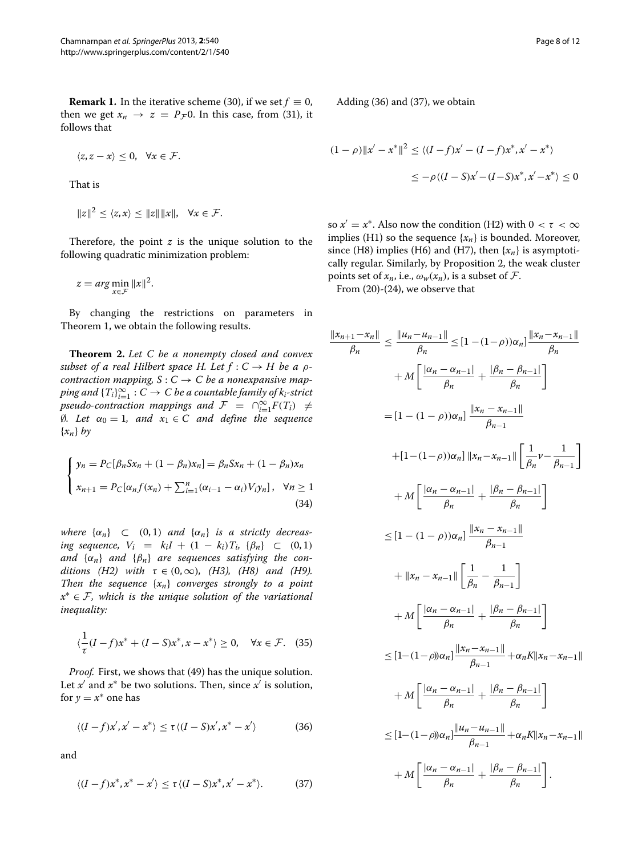**Remark 1.** In the iterative scheme [\(30\)](#page-5-1), if we set  $f \equiv 0$ , then we get  $x_n \to z = P_{\mathcal{F}} 0$ . In this case, from [\(31\)](#page-5-2), it follows that

$$
\langle z, z-x\rangle \leq 0, \quad \forall x \in \mathcal{F}.
$$

That is

$$
||z||^2 \le \langle z, x \rangle \le ||z|| ||x||, \quad \forall x \in \mathcal{F}.
$$

Therefore, the point  $z$  is the unique solution to the following quadratic minimization problem:

$$
z = arg \min_{x \in \mathcal{F}} \|x\|^2.
$$

By changing the restrictions on parameters in Theorem [1,](#page-5-3) we obtain the following results.

<span id="page-7-3"></span>**Theorem 2.** *Let C be a nonempty closed and convex subset of a real Hilbert space H. Let*  $f: C \rightarrow H$  *be a*  $\rho$ *contraction mapping,*  $S: C \to C$  *be a nonexpansive map* $p$ ing and  $\{T_i\}_{i=1}^\infty : C \to C$  be a countable family of  $k_i$ -strict  $p$ *seudo-contraction mappings and*  $\mathcal{F} = \bigcap_{i=1}^{\infty} F(T_i) \neq$ ∅*. Let α*<sup>0</sup> = 1*, and x*<sup>1</sup> ∈ *C and define the sequence* {*xn*} *by*

<span id="page-7-2"></span>
$$
\begin{cases}\ny_n = P_C[\beta_n S x_n + (1 - \beta_n) x_n] = \beta_n S x_n + (1 - \beta_n) x_n \\
x_{n+1} = P_C[\alpha_n f(x_n) + \sum_{i=1}^n (\alpha_{i-1} - \alpha_i) V_i y_n], \quad \forall n \ge 1 \\
(34)\n\end{cases}
$$

*where*  $\{\alpha_n\}$   $\subset$   $(0, 1)$  *and*  $\{\alpha_n\}$  *is a strictly decreasing sequence,*  $V_i = k_i I + (1 - k_i) T_i$ ,  $\{\beta_n\} \subset (0, 1)$ *and*  $\{\alpha_n\}$  *and*  $\{\beta_n\}$  *are sequences satisfying the conditions* (*H2*) with  $\tau \in (0, \infty)$ *,* (*H3*)*,* (*H8*) and (*H9*)*. Then the sequence* {*xn*} *converges strongly to a point x*<sup>∗</sup> ∈ F*, which is the unique solution of the variational inequality:*

$$
\langle \frac{1}{\tau}(I-f)x^* + (I-S)x^*, x - x^* \rangle \ge 0, \quad \forall x \in \mathcal{F}. \tag{35}
$$

*Proof.* First, we shows that [\(49\)](#page-10-6) has the unique solution. Let  $x'$  and  $x^*$  be two solutions. Then, since  $x'$  is solution, for  $y = x^*$  one has

<span id="page-7-0"></span>
$$
\langle (I-f)x', x'-x^* \rangle \le \tau \langle (I-S)x', x^* - x' \rangle \tag{36}
$$

<span id="page-7-1"></span>and

$$
\langle (I-f)x^*, x^* - x' \rangle \le \tau \langle (I-S)x^*, x' - x^* \rangle. \tag{37}
$$

Adding [\(36\)](#page-7-0) and [\(37\)](#page-7-1), we obtain

$$
(1 - \rho) \|x' - x^*\|^2 \le \langle (I - f)x' - (I - f)x^*, x' - x^* \rangle
$$
  

$$
\le -\rho \langle (I - S)x' - (I - S)x^*, x' - x^* \rangle \le 0
$$

so  $x' = x^*$ . Also now the condition (H2) with  $0 < \tau < \infty$ implies (H1) so the sequence  $\{x_n\}$  is bounded. Moreover, since (H8) implies (H6) and (H7), then  $\{x_n\}$  is asymptotically regular. Similarly, by Proposition [2,](#page-3-3) the weak cluster points set of  $x_n$ , i.e.,  $\omega_w(x_n)$ , is a subset of F.

From (20)-(24), we observe that

$$
\frac{\|x_{n+1} - x_n\|}{\beta_n} \le \frac{\|u_n - u_{n-1}\|}{\beta_n} \le [1 - (1 - \rho))\alpha_n] \frac{\|x_n - x_{n-1}\|}{\beta_n} \n+ M \left[ \frac{|\alpha_n - \alpha_{n-1}|}{\beta_n} + \frac{|\beta_n - \beta_{n-1}|}{\beta_n} \right] \n= [1 - (1 - \rho))\alpha_n] \frac{\|x_n - x_{n-1}\|}{\beta_{n-1}} \n+ [1 - (1 - \rho))\alpha_n] \left\|x_n - x_{n-1}\right\| \left[\frac{1}{\beta_n} v - \frac{1}{\beta_{n-1}}\right] \n+ M \left[ \frac{|\alpha_n - \alpha_{n-1}|}{\beta_n} + \frac{|\beta_n - \beta_{n-1}|}{\beta_n} \right] \n\le [1 - (1 - \rho))\alpha_n] \frac{\|x_n - x_{n-1}\|}{\beta_{n-1}} \n+ M \left[ \frac{|\alpha_n - \alpha_{n-1}|}{\beta_n} + \frac{|\beta_n - \beta_{n-1}|}{\beta_n} \right] \n+ M \left[ \frac{|\alpha_n - \alpha_{n-1}|}{\beta_n} + \frac{|\beta_n - \beta_{n-1}|}{\beta_n} \right] \n\le [1 - (1 - \rho))\alpha_n] \frac{\|x_n - x_{n-1}\|}{\beta_{n-1}} + \alpha_n K \|x_n - x_{n-1}\| \n+ M \left[ \frac{|\alpha_n - \alpha_{n-1}|}{\beta_n} + \frac{|\beta_n - \beta_{n-1}|}{\beta_n} \right] \n\le [1 - (1 - \rho))\alpha_n] \frac{\|u_n - u_{n-1}\|}{\beta_{n-1}} + \alpha_n K \|x_n - x_{n-1}\| \n+ M \left[ \frac{|\alpha_n - \alpha_{n-1}|}{\beta_n} + \frac{|\beta_n - \beta_{n-1}|}{\beta_n} \right].
$$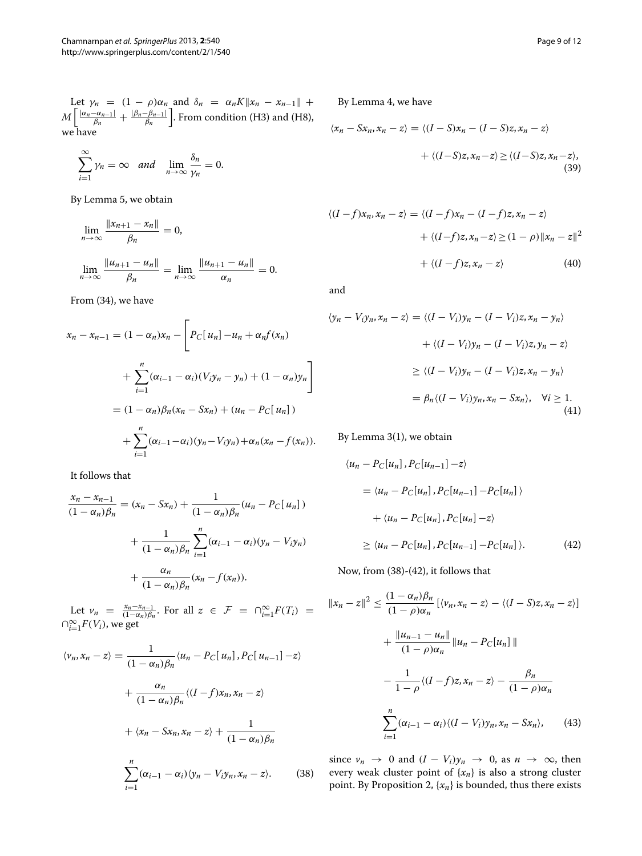Let  $\gamma_n = (1 - \rho)\alpha_n$  and  $\delta_n = \alpha_n K ||x_n - x_{n-1}|| +$  $M\left[\frac{|\alpha_n-\alpha_{n-1}|}{\beta_n}+\frac{|\beta_n-\beta_{n-1}|}{\beta_n}\right]$ . From condition (H3) and (H8), we have

$$
\sum_{i=1}^{\infty} \gamma_n = \infty \quad \text{and} \quad \lim_{n \to \infty} \frac{\delta_n}{\gamma_n} = 0.
$$

By Lemma [5,](#page-2-1) we obtain

$$
\lim_{n \to \infty} \frac{\|x_{n+1} - x_n\|}{\beta_n} = 0,
$$
  

$$
\lim_{n \to \infty} \frac{\|u_{n+1} - u_n\|}{\beta_n} = \lim_{n \to \infty} \frac{\|u_{n+1} - u_n\|}{\alpha_n} = 0.
$$

From [\(34\)](#page-7-2), we have

$$
x_n - x_{n-1} = (1 - \alpha_n)x_n - \left[ P_C[u_n] - u_n + \alpha_n f(x_n) + \sum_{i=1}^n (\alpha_{i-1} - \alpha_i)(V_i y_n - y_n) + (1 - \alpha_n) y_n \right]
$$
  
=  $(1 - \alpha_n) \beta_n (x_n - Sx_n) + (u_n - P_C[u_n]) + \sum_{i=1}^n (\alpha_{i-1} - \alpha_i)(y_n - V_i y_n) + \alpha_n (x_n - f(x_n)).$ 

It follows that

$$
\frac{x_n - x_{n-1}}{(1 - \alpha_n)\beta_n} = (x_n - Sx_n) + \frac{1}{(1 - \alpha_n)\beta_n}(u_n - P_C[u_n]) + \frac{1}{(1 - \alpha_n)\beta_n} \sum_{i=1}^n (\alpha_{i-1} - \alpha_i)(y_n - V_i y_n) + \frac{\alpha_n}{(1 - \alpha_n)\beta_n}(x_n - f(x_n)).
$$

Let  $v_n = \frac{x_n - x_{n-1}}{(1 - \alpha_n)\beta_n}$ . For all  $z \in \mathcal{F} = \bigcap_{i=1}^{\infty} F(T_i) =$  $\bigcap_{i=1}^{\infty} F(V_i)$ , we get

$$
\langle v_n, x_n - z \rangle = \frac{1}{(1 - \alpha_n)\beta_n} \langle u_n - P_C[u_n], P_C[u_{n-1}] - z \rangle
$$
  
+ 
$$
\frac{\alpha_n}{(1 - \alpha_n)\beta_n} \langle (I - f)x_n, x_n - z \rangle
$$
  
+ 
$$
\langle x_n - Sx_n, x_n - z \rangle + \frac{1}{(1 - \alpha_n)\beta_n}
$$
  

$$
\sum_{i=1}^n (\alpha_{i-1} - \alpha_i) \langle y_n - V_i y_n, x_n - z \rangle.
$$
 (38)

By Lemma [4,](#page-2-3) we have

$$
\langle x_n - Sx_n, x_n - z \rangle = \langle (I - S)x_n - (I - S)z, x_n - z \rangle
$$

$$
+ \langle (I - S)z, x_n - z \rangle \ge \langle (I - S)z, x_n - z \rangle,
$$
(39)

$$
\langle (I - f)x_n, x_n - z \rangle = \langle (I - f)x_n - (I - f)z, x_n - z \rangle
$$

$$
+ \langle (I - f)z, x_n - z \rangle \ge (1 - \rho) \|x_n - z\|^2
$$

$$
+ \langle (I - f)z, x_n - z \rangle \tag{40}
$$

and

$$
\langle y_n - V_i y_n, x_n - z \rangle = \langle (I - V_i) y_n - (I - V_i) z, x_n - y_n \rangle
$$

$$
+ \langle (I - V_i) y_n - (I - V_i) z, y_n - z \rangle
$$

$$
\geq \langle (I - V_i) y_n - (I - V_i) z, x_n - y_n \rangle
$$

$$
= \beta_n \langle (I - V_i) y_n, x_n - S x_n \rangle, \quad \forall i \geq 1.
$$
(41)

By Lemma [3\(](#page-2-2)1), we obtain

$$
\langle u_n - P_C[u_n], P_C[u_{n-1}] - z \rangle
$$
  
=  $\langle u_n - P_C[u_n], P_C[u_{n-1}] - P_C[u_n] \rangle$   
+  $\langle u_n - P_C[u_n], P_C[u_n] - z \rangle$   
 $\geq \langle u_n - P_C[u_n], P_C[u_{n-1}] - P_C[u_n] \rangle.$  (42)

<span id="page-8-1"></span>Now, from [\(38\)](#page-8-0)-[\(42\)](#page-8-1), it follows that

$$
||x_n - z||^2 \le \frac{(1 - \alpha_n)\beta_n}{(1 - \rho)\alpha_n} [ \langle v_n, x_n - z \rangle - \langle (I - S)z, x_n - z \rangle ]
$$
  
+ 
$$
\frac{||u_{n-1} - u_n||}{(1 - \rho)\alpha_n} ||u_n - P_C[u_n] ||
$$
  
- 
$$
\frac{1}{1 - \rho} \langle (I - f)z, x_n - z \rangle - \frac{\beta_n}{(1 - \rho)\alpha_n}
$$
  

$$
\sum_{i=1}^n (\alpha_{i-1} - \alpha_i) \langle (I - V_i) y_n, x_n - Sx_n \rangle, \qquad (43)
$$

<span id="page-8-0"></span>since  $v_n \to 0$  and  $(I - V_i)y_n \to 0$ , as  $n \to \infty$ , then every weak cluster point of {*xn*} is also a strong cluster point. By Proposition [2,](#page-3-3)  $\{x_n\}$  is bounded, thus there exists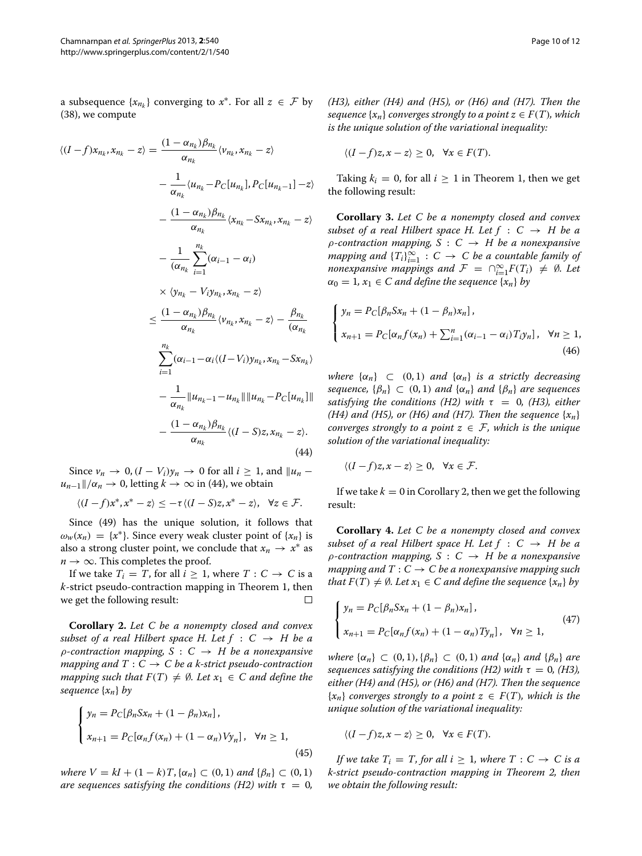a subsequence  $\{x_{n_k}\}$  converging to  $x^*$ . For all  $z \in \mathcal{F}$  by [\(38\)](#page-8-0), we compute

$$
\langle (I-f)x_{n_k}, x_{n_k} - z \rangle = \frac{(1 - \alpha_{n_k})\beta_{n_k}}{\alpha_{n_k}} \langle v_{n_k}, x_{n_k} - z \rangle
$$
  
\n
$$
- \frac{1}{\alpha_{n_k}} \langle u_{n_k} - P_C[u_{n_k}], P_C[u_{n_k-1}] - z \rangle
$$
  
\n
$$
- \frac{(1 - \alpha_{n_k})\beta_{n_k}}{\alpha_{n_k}} \langle x_{n_k} - Sx_{n_k}, x_{n_k} - z \rangle
$$
  
\n
$$
- \frac{1}{(\alpha_{n_k}} \sum_{i=1}^{n_k} (\alpha_{i-1} - \alpha_i)
$$
  
\n
$$
\times \langle y_{n_k} - V_i y_{n_k}, x_{n_k} - z \rangle
$$
  
\n
$$
\leq \frac{(1 - \alpha_{n_k})\beta_{n_k}}{\alpha_{n_k}} \langle v_{n_k}, x_{n_k} - z \rangle - \frac{\beta_{n_k}}{(\alpha_{n_k})}
$$
  
\n
$$
\sum_{i=1}^{n_k} (\alpha_{i-1} - \alpha_i \langle (I - V_i) y_{n_k}, x_{n_k} - Sx_{n_k} \rangle
$$
  
\n
$$
- \frac{1}{\alpha_{n_k}} ||u_{n_k-1} - u_{n_k}|| ||u_{n_k} - P_C[u_{n_k}]]||
$$
  
\n
$$
- \frac{(1 - \alpha_{n_k})\beta_{n_k}}{\alpha_{n_k}} \langle (I - S)z, x_{n_k} - z \rangle.
$$
  
\n(44)

Since  $v_n$  → 0,  $(I - V_i)y_n$  → 0 for all  $i \ge 1$ , and  $||u_n$  $u_{n-1}$ / $\alpha_n \to 0$ , letting  $k \to \infty$  in [\(44\)](#page-9-0), we obtain

 $\langle (I-f)x^*, x^* - z \rangle \leq -\tau \langle (I-S)z, x^* - z \rangle, \quad \forall z \in \mathcal{F}.$ 

Since [\(49\)](#page-10-6) has the unique solution, it follows that  $\omega_w(x_n) = \{x^*\}\$ . Since every weak cluster point of  $\{x_n\}$  is also a strong cluster point, we conclude that  $x_n \to x^*$  as  $n \rightarrow \infty$ . This completes the proof.

If we take  $T_i = T$ , for all  $i \geq 1$ , where  $T : C \rightarrow C$  is a *k*-strict pseudo-contraction mapping in Theorem [1,](#page-5-3) then we get the following result:  $\Box$ 

<span id="page-9-1"></span>**Corollary 2.** *Let C be a nonempty closed and convex subset of a real Hilbert space H. Let*  $f : C \rightarrow H$  *be a ρ-contraction mapping, S* : *C* → *H be a nonexpansive mapping and*  $T: C \to C$  *be a k-strict pseudo-contraction mapping such that*  $F(T) \neq \emptyset$ *. Let*  $x_1 \in C$  *and define the sequence* {*xn*} *by*

$$
\begin{cases}\ny_n = P_C[\beta_n S x_n + (1 - \beta_n) x_n], \\
x_{n+1} = P_C[\alpha_n f(x_n) + (1 - \alpha_n) V y_n], \quad \forall n \ge 1,\n\end{cases}
$$
\n(45)

*where*  $V = kI + (1 - k)T$ , { $α<sub>n</sub>$ } ⊂ (0, 1) *and* { $β<sub>n</sub>$ } ⊂ (0, 1) *are sequences satisfying the conditions (H2) with*  $\tau = 0$ *,*  *(H3), either (H4) and (H5), or (H6) and (H7). Then the sequence*  $\{x_n\}$  *converges strongly to a point*  $z \in F(T)$ *, which is the unique solution of the variational inequality:*

$$
\langle (I-f)z, x-z \rangle \ge 0, \quad \forall x \in F(T).
$$

Taking  $k_i = 0$ , for all  $i \geq 1$  in Theorem [1,](#page-5-3) then we get the following result:

**Corollary 3.** *Let C be a nonempty closed and convex subset of a real Hilbert space H. Let*  $f : C \rightarrow H$  *be a ρ-contraction mapping, S* : *C* → *H be a nonexpansive*  $m$ apping and  $\{T_i\}_{i=1}^{\infty} : C \to C$  be a countable family of *nonexpansive mappings and*  $\mathcal{F} = \bigcap_{i=1}^{\infty} F(T_i) \neq \emptyset$ . Let  $\alpha_0 = 1, x_1 \in C$  *and define the sequence*  $\{x_n\}$  *by* 

$$
\begin{cases}\n y_n = P_C[\beta_n S x_n + (1 - \beta_n) x_n], \\
 x_{n+1} = P_C[\alpha_n f(x_n) + \sum_{i=1}^n (\alpha_{i-1} - \alpha_i) T_i y_n], \quad \forall n \ge 1,\n\end{cases}
$$
\n(46)

*where*  $\{\alpha_n\} \subset (0,1)$  *and*  $\{\alpha_n\}$  *is a strictly decreasing sequence,*  $\{\beta_n\} \subset (0,1)$  *and*  $\{\alpha_n\}$  *and*  $\{\beta_n\}$  *are sequences satisfying the conditions (H2) with*  $\tau = 0$ , (H3), either *(H4) and (H5), or (H6) and (H7). Then the sequence*  $\{x_n\}$ *converges strongly to a point*  $z \in \mathcal{F}$ *, which is the unique solution of the variational inequality:*

<span id="page-9-0"></span>
$$
\langle (I-f)z, x-z \rangle \geq 0, \quad \forall x \in \mathcal{F}.
$$

If we take  $k = 0$  in Corollary [2,](#page-9-1) then we get the following result:

**Corollary 4.** *Let C be a nonempty closed and convex subset of a real Hilbert space H. Let*  $f : C \rightarrow H$  *be a ρ-contraction mapping, S* : *C* → *H be a nonexpansive mapping and*  $T: C \to C$  *be a nonexpansive mapping such that*  $F(T) \neq \emptyset$ *. Let*  $x_1 \in C$  *and define the sequence*  $\{x_n\}$  *by* 

$$
\begin{cases}\n y_n = P_C[\beta_n S x_n + (1 - \beta_n) x_n], \\
 x_{n+1} = P_C[\alpha_n f(x_n) + (1 - \alpha_n) T y_n], \quad \forall n \ge 1,\n\end{cases}
$$
\n(47)

*where*  $\{\alpha_n\} \subset (0,1), \{\beta_n\} \subset (0,1)$  *and*  $\{\alpha_n\}$  *and*  $\{\beta_n\}$  *are sequences satisfying the conditions (H2) with*  $\tau = 0$ , (H3), *either (H4) and (H5), or (H6) and (H7). Then the sequence*  ${x_n}$  *converges strongly to a point*  $z \in F(T)$ *, which is the unique solution of the variational inequality:*

$$
\langle (I-f)z, x-z \rangle \ge 0, \quad \forall x \in F(T).
$$

*If we take*  $T_i = T$ *, for all*  $i \geq 1$ *, where*  $T : C \rightarrow C$  *is a k-strict pseudo-contraction mapping in Theorem [2,](#page-7-3) then we obtain the following result:*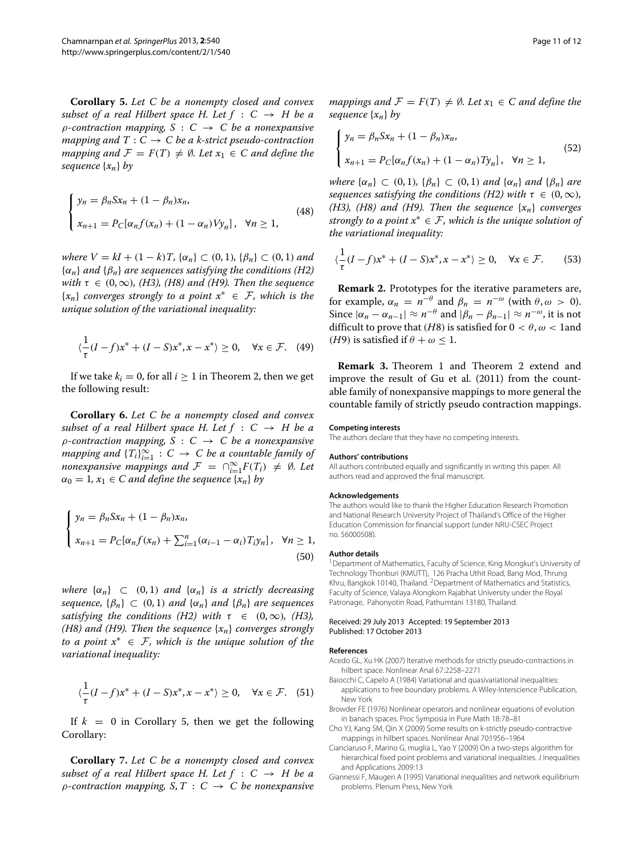<span id="page-10-7"></span>**Corollary 5.** *Let C be a nonempty closed and convex subset of a real Hilbert space H. Let*  $f : C \rightarrow H$  *be a ρ-contraction mapping, S* : *C* → *C be a nonexpansive mapping and*  $T: C \rightarrow C$  *be a k-strict pseudo-contraction mapping and*  $\mathcal{F} = F(T) \neq \emptyset$ . Let  $x_1 \in C$  and define the *sequence* {*xn*} *by*

$$
\begin{cases}\n y_n = \beta_n S x_n + (1 - \beta_n) x_n, \\
 x_{n+1} = P_C[\alpha_n f(x_n) + (1 - \alpha_n) V y_n], \quad \forall n \ge 1,\n\end{cases}
$$
\n(48)

*where*  $V = kI + (1 - k)T$ , { $α<sub>n</sub>$ } ⊂ (0, 1)*,* { $β<sub>n</sub>$ } ⊂ (0, 1*) and* {*αn*} *and* {*βn*} *are sequences satisfying the conditions (H2) with*  $\tau \in (0, \infty)$ *, (H3), (H8) and (H9). Then the sequence* {*xn*} *converges strongly to a point x*<sup>∗</sup> ∈ F*, which is the unique solution of the variational inequality:*

$$
\langle \frac{1}{\tau}(I-f)x^* + (I-S)x^*, x - x^* \rangle \ge 0, \quad \forall x \in \mathcal{F}. \tag{49}
$$

If we take  $k_i = 0$ , for all  $i \geq 1$  in Theorem [2,](#page-7-3) then we get the following result:

**Corollary 6.** *Let C be a nonempty closed and convex subset of a real Hilbert space H. Let*  $f : C \rightarrow H$  *be a ρ-contraction mapping, S* : *C* → *C be a nonexpansive mapping and*  ${T_i}_{i=1}^{\infty}$  :  $C \rightarrow C$  *be a countable family of nonexpansive mappings and*  $\mathcal{F} = \bigcap_{i=1}^{\infty} F(T_i) \neq \emptyset$ . Let  $\alpha_0 = 1, x_1 \in C$  *and define the sequence*  $\{x_n\}$  *by* 

$$
\begin{cases}\ny_n = \beta_n S x_n + (1 - \beta_n) x_n, \\
x_{n+1} = P_C[\alpha_n f(x_n) + \sum_{i=1}^n (\alpha_{i-1} - \alpha_i) T_i y_n], \quad \forall n \ge 1,\n\end{cases}
$$
\n(50)

*where*  $\{\alpha_n\}$   $\subset$   $(0, 1)$  *and*  $\{\alpha_n\}$  *is a strictly decreasing sequence,*  $\{\beta_n\} \subset (0, 1)$  *and*  $\{\alpha_n\}$  *and*  $\{\beta_n\}$  *are sequences satisfying the conditions (H2) with*  $\tau \in (0, \infty)$ *, (H3)*, *(H8) and (H9). Then the sequence* {*xn*} *converges strongly to a point x*<sup>∗</sup> ∈ F*, which is the unique solution of the variational inequality:*

$$
\langle \frac{1}{\tau}(I-f)x^* + (I-S)x^*, x - x^* \rangle \ge 0, \quad \forall x \in \mathcal{F}. \tag{51}
$$

If  $k = 0$  in Corollary [5,](#page-10-7) then we get the following Corollary:

**Corollary 7.** *Let C be a nonempty closed and convex subset of a real Hilbert space H. Let*  $f : C \rightarrow H$  *be a*  $\rho$ *-contraction mapping, S, T* :  $C \rightarrow C$  *be nonexpansive* 

*mappings and*  $\mathcal{F} = F(T) \neq \emptyset$ *. Let*  $x_1 \in C$  *and define the sequence* {*xn*} *by*

$$
\begin{cases}\n y_n = \beta_n S x_n + (1 - \beta_n) x_n, \\
 x_{n+1} = P_C[\alpha_n f(x_n) + (1 - \alpha_n) T y_n], \quad \forall n \ge 1,\n\end{cases}
$$
\n(52)

*where*  $\{\alpha_n\} \subset (0, 1), \{\beta_n\} \subset (0, 1)$  *and*  $\{\alpha_n\}$  *and*  $\{\beta_n\}$  *are sequences satisfying the conditions (H2) with*  $\tau \in (0, \infty)$ *, (H3), (H8) and (H9). Then the sequence* {*xn*} *converges strongly to a point x*<sup>∗</sup> ∈ F*, which is the unique solution of the variational inequality:*

$$
\langle \frac{1}{\tau}(I-f)x^* + (I-S)x^*, x - x^* \rangle \ge 0, \quad \forall x \in \mathcal{F}.
$$
 (53)

<span id="page-10-6"></span>**Remark 2.** Prototypes for the iterative parameters are, for example,  $\alpha_n = n^{-\theta}$  and  $\beta_n = n^{-\omega}$  (with  $\theta, \omega > 0$ ). Since  $|\alpha_n - \alpha_{n-1}| \approx n^{-\theta}$  and  $|\beta_n - \beta_{n-1}| \approx n^{-\omega}$ , it is not difficult to prove that *(H8)* is satisfied for  $0 < \theta$ ,  $\omega < 1$  and *(H9)* is satisfied if  $\theta + \omega \leq 1$ .

**Remark 3.** Theorem [1](#page-5-3) and Theorem [2](#page-7-3) extend and improve the result of Gu et al. [\(2011\)](#page-11-8) from the countable family of nonexpansive mappings to more general the countable family of strictly pseudo contraction mappings.

#### **Competing interests**

The authors declare that they have no competing interests.

#### **Authors' contributions**

All authors contributed equally and significantly in writing this paper. All authors read and approved the final manuscript.

### **Acknowledgements**

The authors would like to thank the Higher Education Research Promotion and National Research University Project of Thailand's Office of the Higher Education Commission for financial support (under NRU-CSEC Project no. 56000508).

## **Author details**

<sup>1</sup> Department of Mathematics, Faculty of Science, King Mongkut's University of Technology Thonburi (KMUTT), 126 Pracha Uthit Road, Bang Mod, Thrung Khru, Bangkok 10140, Thailand. <sup>2</sup>Department of Mathematics and Statistics, Faculty of Science, Valaya Alongkorn Rajabhat University under the Royal Patronage, Pahonyotin Road, Pathumtani 13180, Thailand.

#### Received: 29 July 2013 Accepted: 19 September 2013 Published: 17 October 2013

#### **References**

- <span id="page-10-0"></span>Acedo GL, Xu HK (2007) Iterative methods for strictly pseudo-contractions in hilbert space. Nonlinear Anal 67:2258–2271
- <span id="page-10-2"></span>Baiocchi C, Capelo A (1984) Variational and quasivariational inequalities: applications to free boundary problems. A Wiley-Interscience Publication, New York
- <span id="page-10-5"></span>Browder FE (1976) Nonlinear operators and nonlinear equations of evolution in banach spaces. Proc Symposia in Pure Math 18:78–81
- <span id="page-10-1"></span>Cho YJ, Kang SM, Qin X (2009) Some results on k-strictly pseudo-contractive mappings in hilbert spaces. Nonlinear Anal 70:1956–1964
- <span id="page-10-4"></span>Cianciaruso F, Marino G, muglia L, Yao Y (2009) On a two-steps algorithm for hierarchical fixed point problems and variational inequalities. J Inequalities and Applications 2009:13
- <span id="page-10-3"></span>Giannessi F, Maugeri A (1995) Variational inequalities and network equilibrium problems. Plenum Press, New York